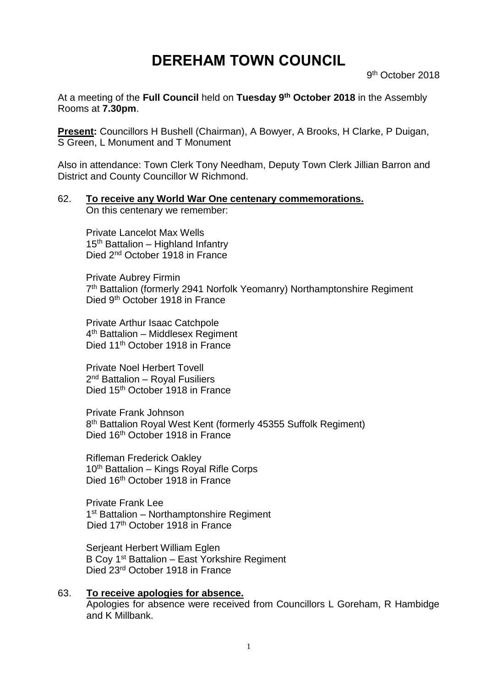# **DEREHAM TOWN COUNCIL**

9 th October 2018

At a meeting of the **Full Council** held on **Tuesday 9 th October 2018** in the Assembly Rooms at **7.30pm**.

**Present:** Councillors H Bushell (Chairman), A Bowyer, A Brooks, H Clarke, P Duigan, S Green, L Monument and T Monument

Also in attendance: Town Clerk Tony Needham, Deputy Town Clerk Jillian Barron and District and County Councillor W Richmond.

# 62. **To receive any World War One centenary commemorations.**

On this centenary we remember:

Private Lancelot Max Wells 15<sup>th</sup> Battalion – Highland Infantry Died 2<sup>nd</sup> October 1918 in France

Private Aubrey Firmin 7<sup>th</sup> Battalion (formerly 2941 Norfolk Yeomanry) Northamptonshire Regiment Died 9th October 1918 in France

Private Arthur Isaac Catchpole 4<sup>th</sup> Battalion - Middlesex Regiment Died 11<sup>th</sup> October 1918 in France

Private Noel Herbert Tovell 2<sup>nd</sup> Battalion – Royal Fusiliers Died 15<sup>th</sup> October 1918 in France

Private Frank Johnson 8<sup>th</sup> Battalion Royal West Kent (formerly 45355 Suffolk Regiment) Died 16<sup>th</sup> October 1918 in France

Rifleman Frederick Oakley 10th Battalion – Kings Royal Rifle Corps Died 16<sup>th</sup> October 1918 in France

Private Frank Lee 1<sup>st</sup> Battalion - Northamptonshire Regiment Died 17<sup>th</sup> October 1918 in France

Serjeant Herbert William Eglen B Coy 1st Battalion – East Yorkshire Regiment Died 23rd October 1918 in France

63. **To receive apologies for absence.** Apologies for absence were received from Councillors L Goreham, R Hambidge and K Millbank.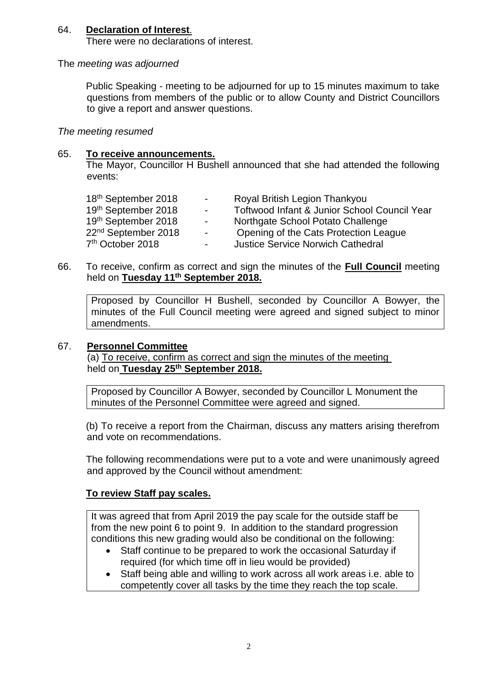# 64. **Declaration of Interest**.

There were no declarations of interest.

#### The *meeting was adjourned*

Public Speaking - meeting to be adjourned for up to 15 minutes maximum to take questions from members of the public or to allow County and District Councillors to give a report and answer questions.

#### *The meeting resumed*

#### 65. **To receive announcements.**

The Mayor, Councillor H Bushell announced that she had attended the following events:

| 18 <sup>th</sup> September 2018 | <b>Contract Contract</b> | Royal British Legion Thankyou                |
|---------------------------------|--------------------------|----------------------------------------------|
| 19th September 2018             | $\sim$                   | Toftwood Infant & Junior School Council Year |
| 19th September 2018             | $\sim$                   | Northgate School Potato Challenge            |
| 22 <sup>nd</sup> September 2018 | $\sim$ $-$               | Opening of the Cats Protection League        |
| 7 <sup>th</sup> October 2018    | $\overline{\phantom{0}}$ | <b>Justice Service Norwich Cathedral</b>     |

66. To receive, confirm as correct and sign the minutes of the **Full Council** meeting held on **Tuesday 11th September 2018.**

Proposed by Councillor H Bushell, seconded by Councillor A Bowyer, the minutes of the Full Council meeting were agreed and signed subject to minor amendments.

#### 67. **Personnel Committee**

(a) To receive, confirm as correct and sign the minutes of the meeting held on **Tuesday 25th September 2018.**

Proposed by Councillor A Bowyer, seconded by Councillor L Monument the minutes of the Personnel Committee were agreed and signed.

(b) To receive a report from the Chairman, discuss any matters arising therefrom and vote on recommendations.

The following recommendations were put to a vote and were unanimously agreed and approved by the Council without amendment:

## **To review Staff pay scales.**

It was agreed that from April 2019 the pay scale for the outside staff be from the new point 6 to point 9. In addition to the standard progression conditions this new grading would also be conditional on the following:

- Staff continue to be prepared to work the occasional Saturday if required (for which time off in lieu would be provided)
- Staff being able and willing to work across all work areas i.e. able to competently cover all tasks by the time they reach the top scale.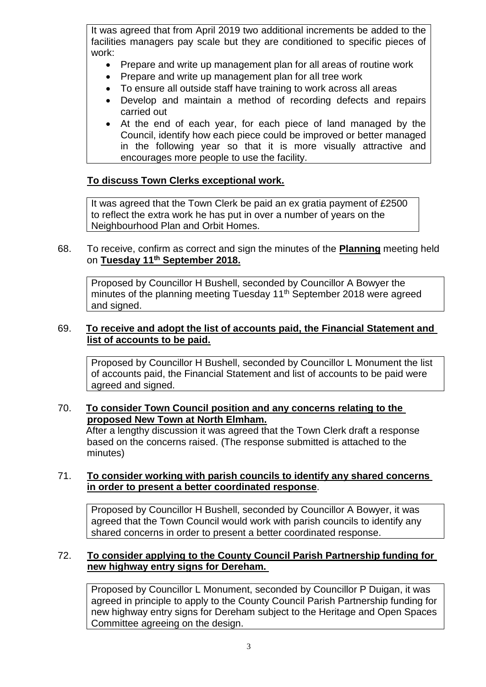It was agreed that from April 2019 two additional increments be added to the facilities managers pay scale but they are conditioned to specific pieces of work:

- Prepare and write up management plan for all areas of routine work
- Prepare and write up management plan for all tree work
- To ensure all outside staff have training to work across all areas
- Develop and maintain a method of recording defects and repairs carried out
- At the end of each year, for each piece of land managed by the Council, identify how each piece could be improved or better managed in the following year so that it is more visually attractive and encourages more people to use the facility.

# **To discuss Town Clerks exceptional work.**

It was agreed that the Town Clerk be paid an ex gratia payment of £2500 to reflect the extra work he has put in over a number of years on the Neighbourhood Plan and Orbit Homes.

# 68. To receive, confirm as correct and sign the minutes of the **Planning** meeting held on **Tuesday 11th September 2018.**

Proposed by Councillor H Bushell, seconded by Councillor A Bowyer the minutes of the planning meeting Tuesday 11<sup>th</sup> September 2018 were agreed and signed.

# 69. **To receive and adopt the list of accounts paid, the Financial Statement and list of accounts to be paid.**

Proposed by Councillor H Bushell, seconded by Councillor L Monument the list of accounts paid, the Financial Statement and list of accounts to be paid were agreed and signed.

## 70. **To consider Town Council position and any concerns relating to the proposed New Town at North Elmham.**

After a lengthy discussion it was agreed that the Town Clerk draft a response based on the concerns raised. (The response submitted is attached to the minutes)

## 71. **To consider working with parish councils to identify any shared concerns in order to present a better coordinated response**.

Proposed by Councillor H Bushell, seconded by Councillor A Bowyer, it was agreed that the Town Council would work with parish councils to identify any shared concerns in order to present a better coordinated response.

# 72. **To consider applying to the County Council Parish Partnership funding for new highway entry signs for Dereham.**

Proposed by Councillor L Monument, seconded by Councillor P Duigan, it was agreed in principle to apply to the County Council Parish Partnership funding for new highway entry signs for Dereham subject to the Heritage and Open Spaces Committee agreeing on the design.